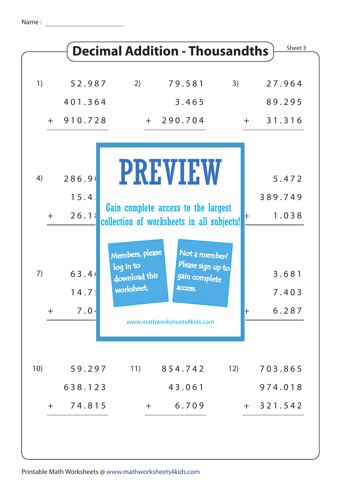| 1)          | 52.987                            |                                                             |                                                                |              |                         |
|-------------|-----------------------------------|-------------------------------------------------------------|----------------------------------------------------------------|--------------|-------------------------|
|             |                                   | 2)                                                          | 79.581                                                         | 3)           | 27.964                  |
|             | 401.364                           |                                                             | 3.465                                                          |              | 89.295                  |
|             | $+ 910.728$                       |                                                             | $+ 290.704$                                                    |              | 31.316<br>$+$           |
|             |                                   |                                                             | <b>PREVIEW</b>                                                 |              |                         |
| 4)          | 286.90                            |                                                             |                                                                |              | 5.472                   |
|             | 15.4                              |                                                             | Gain complete access to the largest                            |              | 389.749                 |
| $+$         | 26.18                             |                                                             | collection of worksheets in all subjects!                      | $\pm$        | 1.038                   |
| 7)<br>$\pm$ | 63.4<br>14.7 <sup>1</sup><br>7.04 | Members, please<br>log in to<br>download this<br>worksheet. | Not a member?<br>Please sign up to<br>gain complete<br>access. | $\mathsf{+}$ | 3.681<br>7.403<br>6.287 |
|             |                                   |                                                             | www.mathworksheets4kids.com                                    |              |                         |
| 10)         | 59.297                            | 11)                                                         | 854.742                                                        | 12)          | 703.865                 |
|             | 638.123                           |                                                             | 43.061                                                         |              | 974.018                 |
| $+$         | 74.815                            | $+$                                                         | 6.709                                                          |              | $+ 321.542$             |